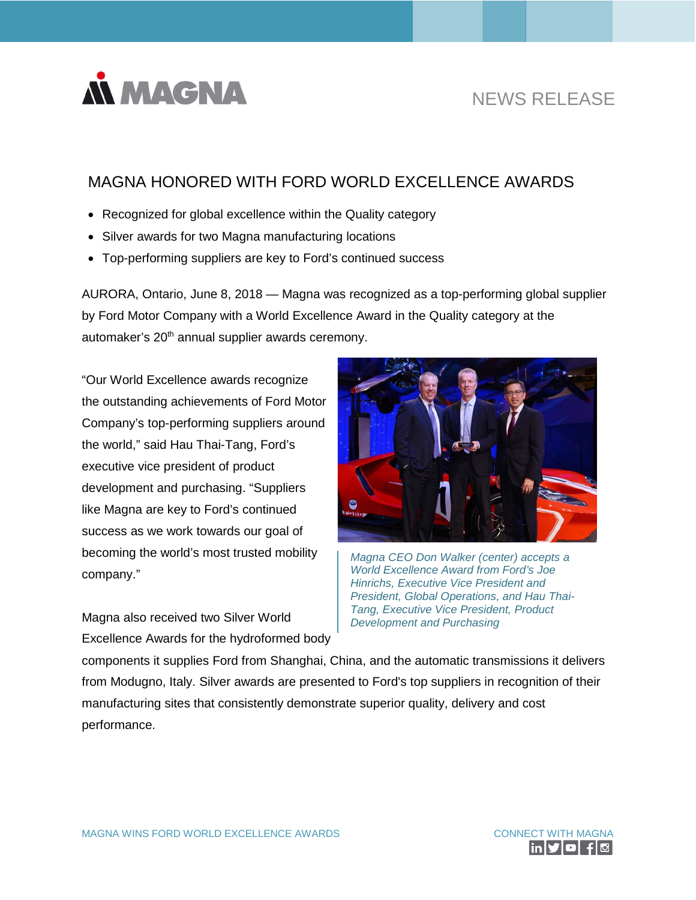

# NEWS RELEASE

## MAGNA HONORED WITH FORD WORLD EXCELLENCE AWARDS

- Recognized for global excellence within the Quality category
- Silver awards for two Magna manufacturing locations
- Top-performing suppliers are key to Ford's continued success

AURORA, Ontario, June 8, 2018 — Magna was recognized as a top-performing global supplier by Ford Motor Company with a World Excellence Award in the Quality category at the automaker's 20<sup>th</sup> annual supplier awards ceremony.

"Our World Excellence awards recognize the outstanding achievements of Ford Motor Company's top-performing suppliers around the world," said Hau Thai-Tang, Ford's executive vice president of product development and purchasing. "Suppliers like Magna are key to Ford's continued success as we work towards our goal of becoming the world's most trusted mobility company."

Magna also received two Silver World Excellence Awards for the hydroformed body



*Magna CEO Don Walker (center) accepts a World Excellence Award from Ford's Joe Hinrichs, Executive Vice President and President, Global Operations, and Hau Thai-Tang, Executive Vice President, Product Development and Purchasing*

components it supplies Ford from Shanghai, China, and the automatic transmissions it delivers from Modugno, Italy. Silver awards are presented to Ford's top suppliers in recognition of their manufacturing sites that consistently demonstrate superior quality, delivery and cost performance.